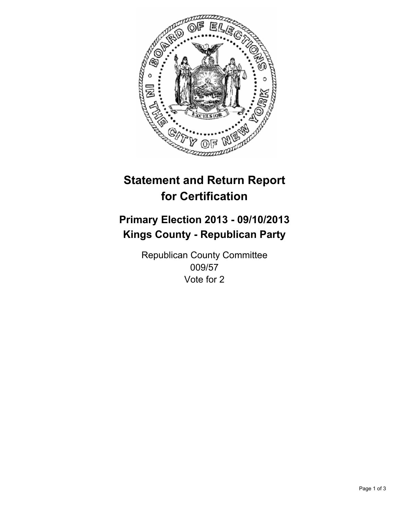

# **Statement and Return Report for Certification**

## **Primary Election 2013 - 09/10/2013 Kings County - Republican Party**

Republican County Committee 009/57 Vote for 2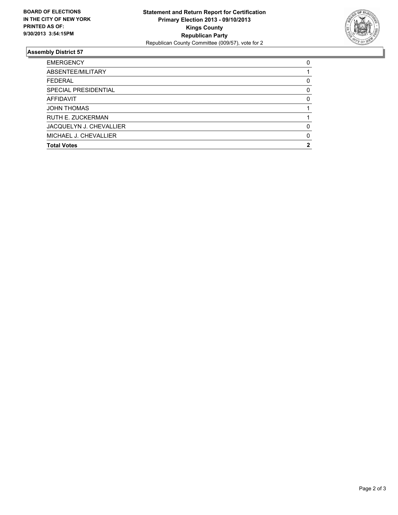

### **Assembly District 57**

| <b>EMERGENCY</b>         | 0        |
|--------------------------|----------|
| ABSENTEE/MILITARY        |          |
| <b>FEDERAL</b>           | 0        |
| SPECIAL PRESIDENTIAL     | $\Omega$ |
| <b>AFFIDAVIT</b>         | 0        |
| <b>JOHN THOMAS</b>       |          |
| <b>RUTH E. ZUCKERMAN</b> |          |
| JACQUELYN J. CHEVALLIER  | 0        |
| MICHAEL J. CHEVALLIER    | $\Omega$ |
| <b>Total Votes</b>       |          |